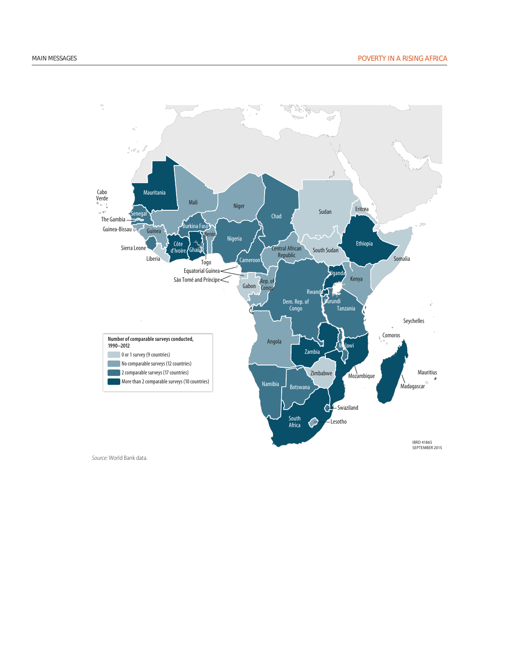

MAP 1 Lack of comparable surveys in Africa makes it di cult to measure poverty trends

*Source:* World Bank data.

## Poverty in Africa may be lower than current estimates suggest, but more people are poor today than in 1990

According to World Bank estimates from household surveys, the share of people in Africa living on less than \$1.90 a day fell from 57 percent in 1990 to 43 percent in 2012. Limiting the estimation to comparable surveys of good quality, drawing on information from nonconsumption surveys, and applying price deflators other than the consumer price index suggest that poverty may have declined by more. Even under the most optimistic alternative scenario, however, there were many more poor people in Africa in 2012 than in 1990 (more than 330 mil lion, up from about 280 million), as a result of rapid population growth.

Africa will not meet the Millennium Development Goal target of halving poverty by 2015 and projections are that the world's poor will be increasingly concentrated in Africa. Fragility and conflict are especially detrimental to poverty reduction, resulting in poverty reduction that was 15 percentage points lower than in other economies over the 1996–2012 period. Rural areas remain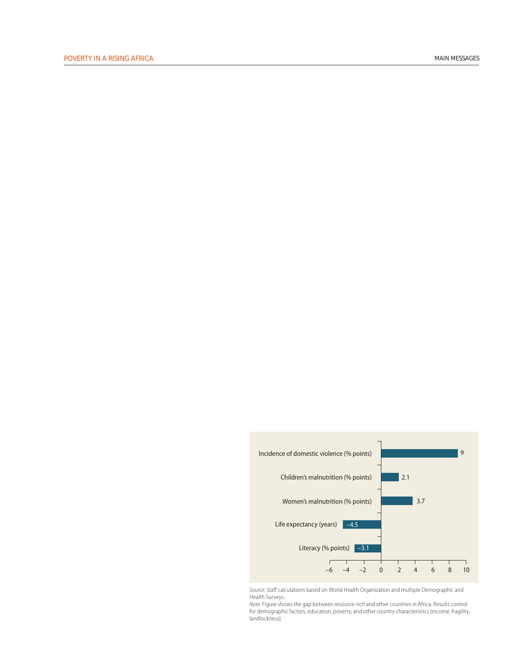much poorer than urban areas, although the gap narrowed. The poverty rate among female-headed households is lower than among male-headed households, but households headed by widows are worse off (and these results may change once differences tolerance of domestic violence and less in demographic composition are taken into account). Poverty is a persistent condition for many poor; three out of five poor are chronically poor.

## Nonmonetary dimensions of wellbeing improved, but levels remain low and progress has leveled o

By many dimensions, well-being in Africa improved between 1995 and 2012. Adult literacy rates increased 4 percentage points. Life expectancy at birth rose 6.2 years, and the prevalence of chronic malnutrition among children under 5 fell 6 percentage points. The number of deaths from politically motivated violence declined, and both tolerance and the incidence of gender-based domestic violence dropped. Scores on voice and accountability indicators rose slightly, and there was a trend toward greater participation of women in household decision-making processes.

These improvements notwithstanding, the levels of achievement remain low across these domains, and the rate of progress is leveling off. Despite the increase in school enrollment, more than two out of five adults are still unable to read or write, and the quality of education is very low. About threequarters of sixth graders in Malawi and Zambia cannot read for meaning, providing just one example of the school quality challenge. The need to reinvigorate efforts to tackle Africa's basic educational challenge and build Africa's future human capital is urgent.

Health outcomes mirror the results for literacy: Progress is occurring, but outcomes remain the worst in the world. Nearly two in five children are malnourished, and progress in immunization rates and bednet distribution is slowing. Africans enjoyed considerably more peace in the 2000s than they did in earlier decades, but the number of violent

events has been on the rise since 2010, reaching four times the level of the mid-1990s. Tolerance of domestic violence (at 30 percent of the population) is still twice as high as in the rest of the developing world. Greater empowered decision making among younger (compared with older) women suggest that a generational shift in mindset is still to come. Africa also remains among the bottom performers in terms of voice and accountability.

Beyond these regionwide trends, four findings stand out:

- Fragile countries tend to perform worse than other countries, confirming the pernicious effects of conflict.
- There is a worrisome penalty to residing in a resource-rich country (figure 1).
- Women can expect to live in good health 1.6 years longer than men, and among children under 5 it is girls, not boys, who are less likely to be malnourished (by 5 percentage points). But illiteracy remains substantially higher among women, women suffer high rates of domestic violence, and women are more curtailed than men in their access to information and less free to make decisions.



FIGURE 1 Resource-rich countries perform systematically worse

*Source:* Staff calculations based on World Health Organization and multiple Demographic and Health Surveys.

*Note:* Figure shows the gap between resource-rich and other countries in Africa. Results control for demographic factors, education, poverty, and other country characteristics (income, fragility, landlockness).